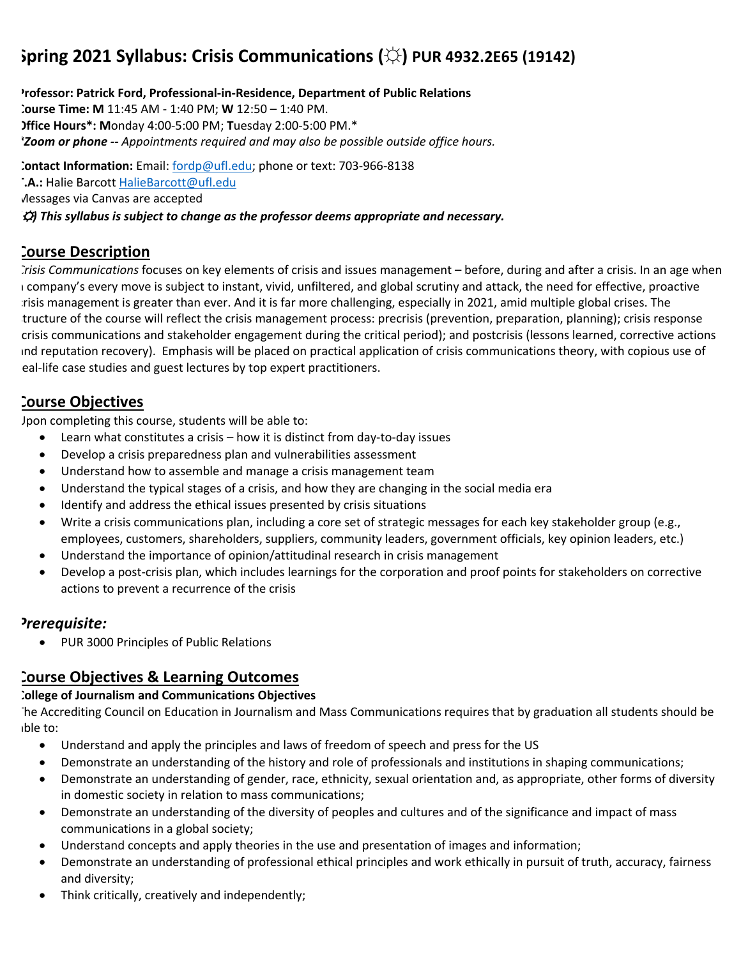# **Spring 2021 Syllabus: Crisis Communications (☼) PUR 4932.2E65 (19142)**

**Professor: Patrick Ford, Professional-in-Residence, Department of Public Relations Course Time: M** 11:45 AM - 1:40 PM; **W** 12:50 – 1:40 PM. **Office Hours\*: M**onday 4:00-5:00 PM; **T**uesday 2:00-5:00 PM.\* *\*Zoom or phone -- Appointments required and may also be possible outside office hours.*

**Contact Information:** Email: fordp@ufl.edu; phone or text: 703-966-8138 **T.A.:** Halie Barcott HalieBarcott@ufl.edu Messages via Canvas are accepted

*(*☼*) This syllabus is subject to change as the professor deems appropriate and necessary.*

# **Course Description**

*Crisis Communications* focuses on key elements of crisis and issues management – before, during and after a crisis. In an age when a company's every move is subject to instant, vivid, unfiltered, and global scrutiny and attack, the need for effective, proactive crisis management is greater than ever. And it is far more challenging, especially in 2021, amid multiple global crises. The tructure of the course will reflect the crisis management process: precrisis (prevention, preparation, planning); crisis response (crisis communications and stakeholder engagement during the critical period); and postcrisis (lessons learned, corrective actions and reputation recovery). Emphasis will be placed on practical application of crisis communications theory, with copious use of eal-life case studies and guest lectures by top expert practitioners.

# **Course Objectives**

Upon completing this course, students will be able to:

- Learn what constitutes a crisis how it is distinct from day-to-day issues
- Develop a crisis preparedness plan and vulnerabilities assessment
- Understand how to assemble and manage a crisis management team
- Understand the typical stages of a crisis, and how they are changing in the social media era
- Identify and address the ethical issues presented by crisis situations
- Write a crisis communications plan, including a core set of strategic messages for each key stakeholder group (e.g., employees, customers, shareholders, suppliers, community leaders, government officials, key opinion leaders, etc.)
- Understand the importance of opinion/attitudinal research in crisis management
- Develop a post-crisis plan, which includes learnings for the corporation and proof points for stakeholders on corrective actions to prevent a recurrence of the crisis

# *Prerequisite:*

• PUR 3000 Principles of Public Relations

# **Course Objectives & Learning Outcomes**

### **College of Journalism and Communications Objectives**

The Accrediting Council on Education in Journalism and Mass Communications requires that by graduation all students should be able to:

- Understand and apply the principles and laws of freedom of speech and press for the US
- Demonstrate an understanding of the history and role of professionals and institutions in shaping communications;
- Demonstrate an understanding of gender, race, ethnicity, sexual orientation and, as appropriate, other forms of diversity in domestic society in relation to mass communications;
- Demonstrate an understanding of the diversity of peoples and cultures and of the significance and impact of mass communications in a global society;
- Understand concepts and apply theories in the use and presentation of images and information;
- Demonstrate an understanding of professional ethical principles and work ethically in pursuit of truth, accuracy, fairness and diversity;
- Think critically, creatively and independently;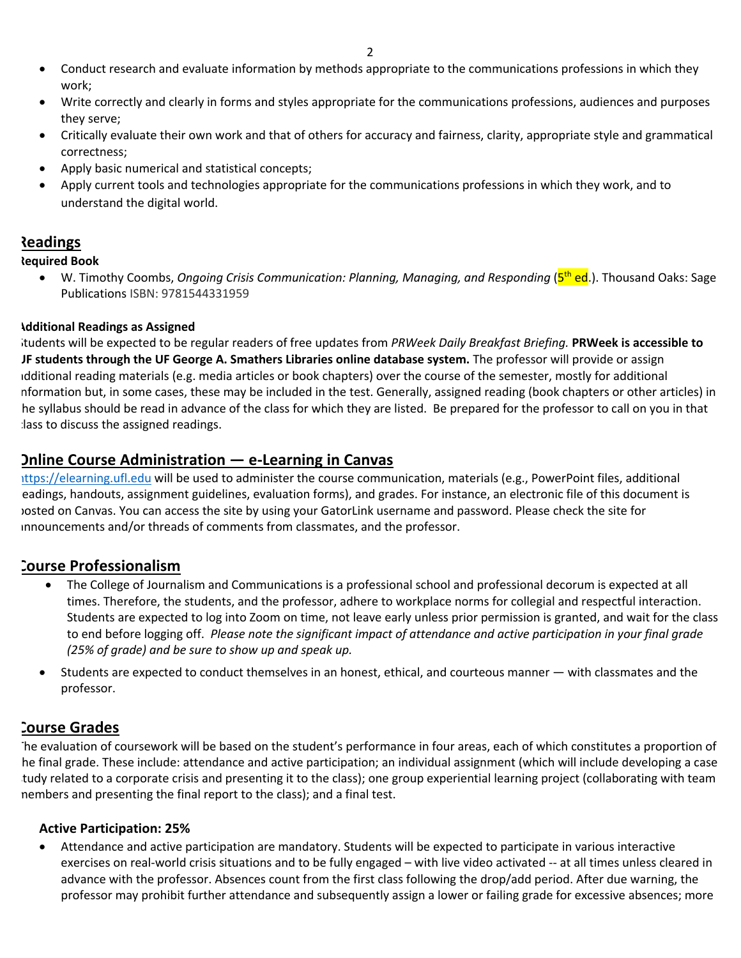- Conduct research and evaluate information by methods appropriate to the communications professions in which they work;
- Write correctly and clearly in forms and styles appropriate for the communications professions, audiences and purposes they serve;
- Critically evaluate their own work and that of others for accuracy and fairness, clarity, appropriate style and grammatical correctness;
- Apply basic numerical and statistical concepts;
- Apply current tools and technologies appropriate for the communications professions in which they work, and to understand the digital world.

# **Readings**

#### **Required Book**

• W. Timothy Coombs, *Ongoing Crisis Communication: Planning, Managing, and Responding* (5<sup>th</sup> ed.). Thousand Oaks: Sage Publications ISBN: 9781544331959

#### **Additional Readings as Assigned**

Students will be expected to be regular readers of free updates from *PRWeek Daily Breakfast Briefing.* **PRWeek is accessible to UF students through the UF George A. Smathers Libraries online database system.** The professor will provide or assign additional reading materials (e.g. media articles or book chapters) over the course of the semester, mostly for additional information but, in some cases, these may be included in the test. Generally, assigned reading (book chapters or other articles) in he syllabus should be read in advance of the class for which they are listed. Be prepared for the professor to call on you in that lass to discuss the assigned readings.

# **Online Course Administration — e-Learning in Canvas**

https://elearning.ufl.edu will be used to administer the course communication, materials (e.g., PowerPoint files, additional eadings, handouts, assignment guidelines, evaluation forms), and grades. For instance, an electronic file of this document is posted on Canvas. You can access the site by using your GatorLink username and password. Please check the site for announcements and/or threads of comments from classmates, and the professor.

# **Course Professionalism**

- The College of Journalism and Communications is a professional school and professional decorum is expected at all times. Therefore, the students, and the professor, adhere to workplace norms for collegial and respectful interaction. Students are expected to log into Zoom on time, not leave early unless prior permission is granted, and wait for the class to end before logging off. *Please note the significant impact of attendance and active participation in your final grade (25% of grade) and be sure to show up and speak up.*
- Students are expected to conduct themselves in an honest, ethical, and courteous manner with classmates and the professor.

# **Course Grades**

The evaluation of coursework will be based on the student's performance in four areas, each of which constitutes a proportion of he final grade. These include: attendance and active participation; an individual assignment (which will include developing a case tudy related to a corporate crisis and presenting it to the class); one group experiential learning project (collaborating with team members and presenting the final report to the class); and a final test.

### **Active Participation: 25%**

• Attendance and active participation are mandatory. Students will be expected to participate in various interactive exercises on real-world crisis situations and to be fully engaged – with live video activated -- at all times unless cleared in advance with the professor. Absences count from the first class following the drop/add period. After due warning, the professor may prohibit further attendance and subsequently assign a lower or failing grade for excessive absences; more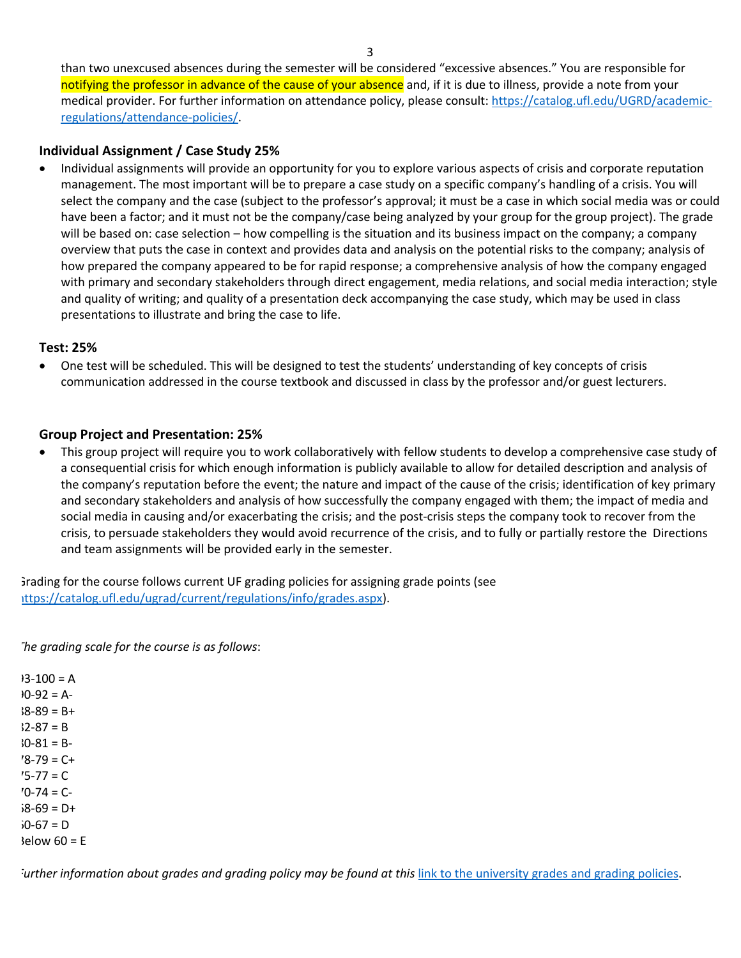than two unexcused absences during the semester will be considered "excessive absences." You are responsible for notifying the professor in advance of the cause of your absence and, if it is due to illness, provide a note from your medical provider. For further information on attendance policy, please consult: https://catalog.ufl.edu/UGRD/academicregulations/attendance-policies/.

#### **Individual Assignment / Case Study 25%**

• Individual assignments will provide an opportunity for you to explore various aspects of crisis and corporate reputation management. The most important will be to prepare a case study on a specific company's handling of a crisis. You will select the company and the case (subject to the professor's approval; it must be a case in which social media was or could have been a factor; and it must not be the company/case being analyzed by your group for the group project). The grade will be based on: case selection – how compelling is the situation and its business impact on the company; a company overview that puts the case in context and provides data and analysis on the potential risks to the company; analysis of how prepared the company appeared to be for rapid response; a comprehensive analysis of how the company engaged with primary and secondary stakeholders through direct engagement, media relations, and social media interaction; style and quality of writing; and quality of a presentation deck accompanying the case study, which may be used in class presentations to illustrate and bring the case to life.

#### **Test: 25%**

• One test will be scheduled. This will be designed to test the students' understanding of key concepts of crisis communication addressed in the course textbook and discussed in class by the professor and/or guest lecturers.

#### **Group Project and Presentation: 25%**

• This group project will require you to work collaboratively with fellow students to develop a comprehensive case study of a consequential crisis for which enough information is publicly available to allow for detailed description and analysis of the company's reputation before the event; the nature and impact of the cause of the crisis; identification of key primary and secondary stakeholders and analysis of how successfully the company engaged with them; the impact of media and social media in causing and/or exacerbating the crisis; and the post-crisis steps the company took to recover from the crisis, to persuade stakeholders they would avoid recurrence of the crisis, and to fully or partially restore the Directions and team assignments will be provided early in the semester.

Grading for the course follows current UF grading policies for assigning grade points (see https://catalog.ufl.edu/ugrad/current/regulations/info/grades.aspx).

*The grading scale for the course is as follows*:

 $93-100 = A$  $90-92 = A$  $38-89 = B +$  $32-87 = B$  $30-81 = B 79 = C +$  $75 - 77 = C$  $70-74 = C$  $69 = D +$  $67 = D$  $\text{Below } 60 = E$ 

*Further information about grades and grading policy may be found at this* link to the university grades and grading policies.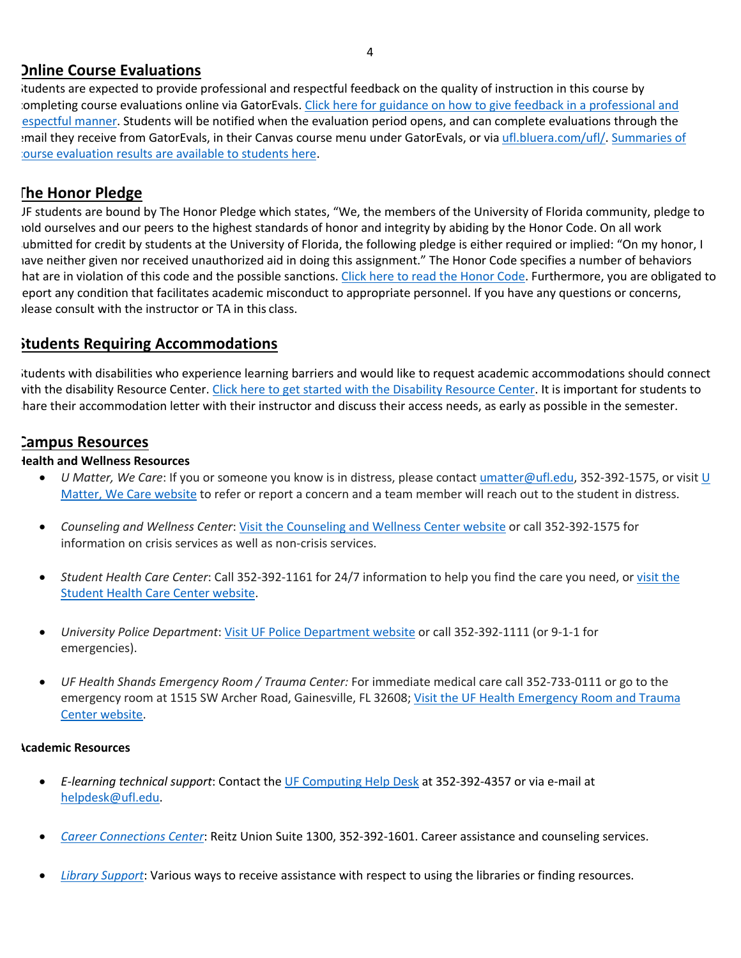# **Online Course Evaluations**

Students are expected to provide professional and respectful feedback on the quality of instruction in this course by completing course evaluations online via GatorEvals. Click here for guidance on how to give feedback in a professional and espectful manner. Students will be notified when the evaluation period opens, and can complete evaluations through the email they receive from GatorEvals, in their Canvas course menu under GatorEvals, or via ufl.bluera.com/ufl/. Summaries of course evaluation results are available to students here.

# **The Honor Pledge**

UF students are bound by The Honor Pledge which states, "We, the members of the University of Florida community, pledge to hold ourselves and our peers to the highest standards of honor and integrity by abiding by the Honor Code. On all work ubmitted for credit by students at the University of Florida, the following pledge is either required or implied: "On my honor, I have neither given nor received unauthorized aid in doing this assignment." The Honor Code specifies a number of behaviors hat are in violation of this code and the possible sanctions. Click here to read the Honor Code. Furthermore, you are obligated to eport any condition that facilitates academic misconduct to appropriate personnel. If you have any questions or concerns, please consult with the instructor or TA in this class.

# **Students Requiring Accommodations**

Students with disabilities who experience learning barriers and would like to request academic accommodations should connect with the disability Resource Center. Click here to get started with the Disability Resource Center. It is important for students to hare their accommodation letter with their instructor and discuss their access needs, as early as possible in the semester.

### **Campus Resources**

#### **Health and Wellness Resources**

- *U Matter, We Care*: If you or someone you know is in distress, please contact umatter@ufl.edu, 352-392-1575, or visit U Matter, We Care website to refer or report a concern and a team member will reach out to the student in distress.
- *Counseling and Wellness Center*: Visit the Counseling and Wellness Center website or call 352-392-1575 for information on crisis services as well as non-crisis services.
- *Student Health Care Center*: Call 352-392-1161 for 24/7 information to help you find the care you need, or visit the Student Health Care Center website.
- *University Police Department*: Visit UF Police Department website or call 352-392-1111 (or 9-1-1 for emergencies).
- *UF Health Shands Emergency Room / Trauma Center:* For immediate medical care call 352-733-0111 or go to the emergency room at 1515 SW Archer Road, Gainesville, FL 32608; Visit the UF Health Emergency Room and Trauma Center website.

#### **Academic Resources**

- *E-learning technical support*: Contact the UF Computing Help Desk at 352-392-4357 or via e-mail at helpdesk@ufl.edu.
- *Career Connections Center*: Reitz Union Suite 1300, 352-392-1601. Career assistance and counseling services.
- *Library Support*: Various ways to receive assistance with respect to using the libraries or finding resources.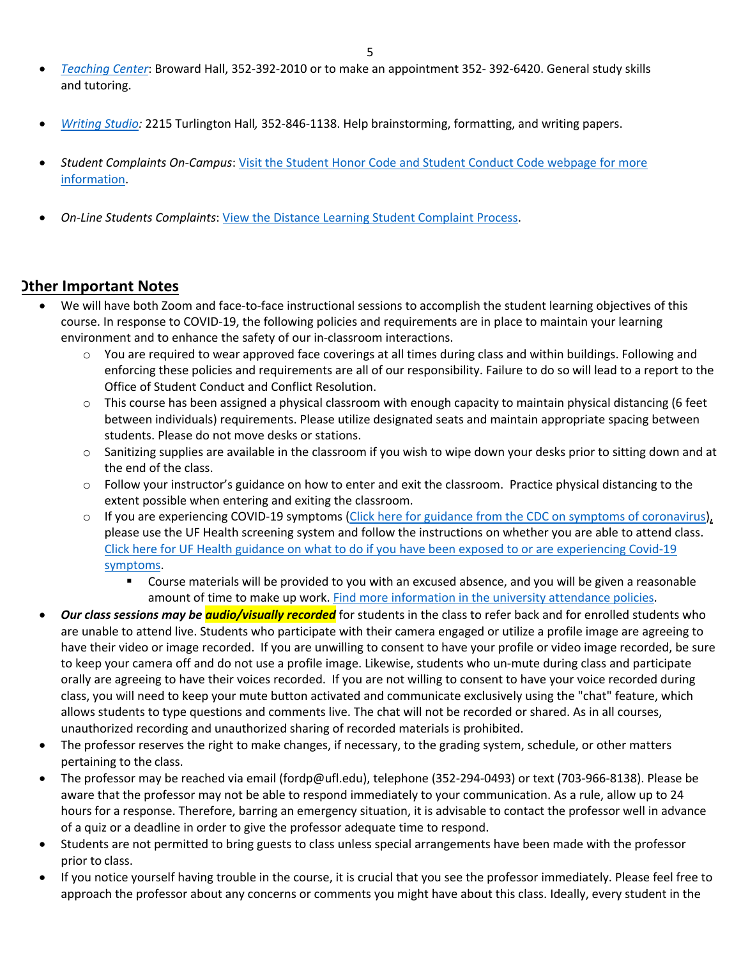- *Teaching Center*: Broward Hall, 352-392-2010 or to make an appointment 352- 392-6420. General study skills and tutoring.
- *Writing Studio:* 2215 Turlington Hall*,* 352-846-1138. Help brainstorming, formatting, and writing papers.
- *Student Complaints On-Campus*: Visit the Student Honor Code and Student Conduct Code webpage for more information.
- *On-Line Students Complaints*: View the Distance Learning Student Complaint Process.

#### **Other Important Notes**

- We will have both Zoom and face-to-face instructional sessions to accomplish the student learning objectives of this course. In response to COVID-19, the following policies and requirements are in place to maintain your learning environment and to enhance the safety of our in-classroom interactions.
	- $\circ$  You are required to wear approved face coverings at all times during class and within buildings. Following and enforcing these policies and requirements are all of our responsibility. Failure to do so will lead to a report to the Office of Student Conduct and Conflict Resolution.
	- o This course has been assigned a physical classroom with enough capacity to maintain physical distancing (6 feet between individuals) requirements. Please utilize designated seats and maintain appropriate spacing between students. Please do not move desks or stations.
	- o Sanitizing supplies are available in the classroom if you wish to wipe down your desks prior to sitting down and at the end of the class.
	- o Follow your instructor's guidance on how to enter and exit the classroom. Practice physical distancing to the extent possible when entering and exiting the classroom.
	- $\circ$  If you are experiencing COVID-19 symptoms (Click here for guidance from the CDC on symptoms of coronavirus), please use the UF Health screening system and follow the instructions on whether you are able to attend class. Click here for UF Health guidance on what to do if you have been exposed to or are experiencing Covid-19 symptoms.
		- § Course materials will be provided to you with an excused absence, and you will be given a reasonable amount of time to make up work. Find more information in the university attendance policies.
- *Our class sessions may be audio/visually recorded* for students in the class to refer back and for enrolled students who are unable to attend live. Students who participate with their camera engaged or utilize a profile image are agreeing to have their video or image recorded. If you are unwilling to consent to have your profile or video image recorded, be sure to keep your camera off and do not use a profile image. Likewise, students who un-mute during class and participate orally are agreeing to have their voices recorded. If you are not willing to consent to have your voice recorded during class, you will need to keep your mute button activated and communicate exclusively using the "chat" feature, which allows students to type questions and comments live. The chat will not be recorded or shared. As in all courses, unauthorized recording and unauthorized sharing of recorded materials is prohibited.
- The professor reserves the right to make changes, if necessary, to the grading system, schedule, or other matters pertaining to the class.
- The professor may be reached via email (fordp@ufl.edu), telephone (352-294-0493) or text (703-966-8138). Please be aware that the professor may not be able to respond immediately to your communication. As a rule, allow up to 24 hours for a response. Therefore, barring an emergency situation, it is advisable to contact the professor well in advance of a quiz or a deadline in order to give the professor adequate time to respond.
- Students are not permitted to bring guests to class unless special arrangements have been made with the professor prior to class.
- If you notice yourself having trouble in the course, it is crucial that you see the professor immediately. Please feel free to approach the professor about any concerns or comments you might have about this class. Ideally, every student in the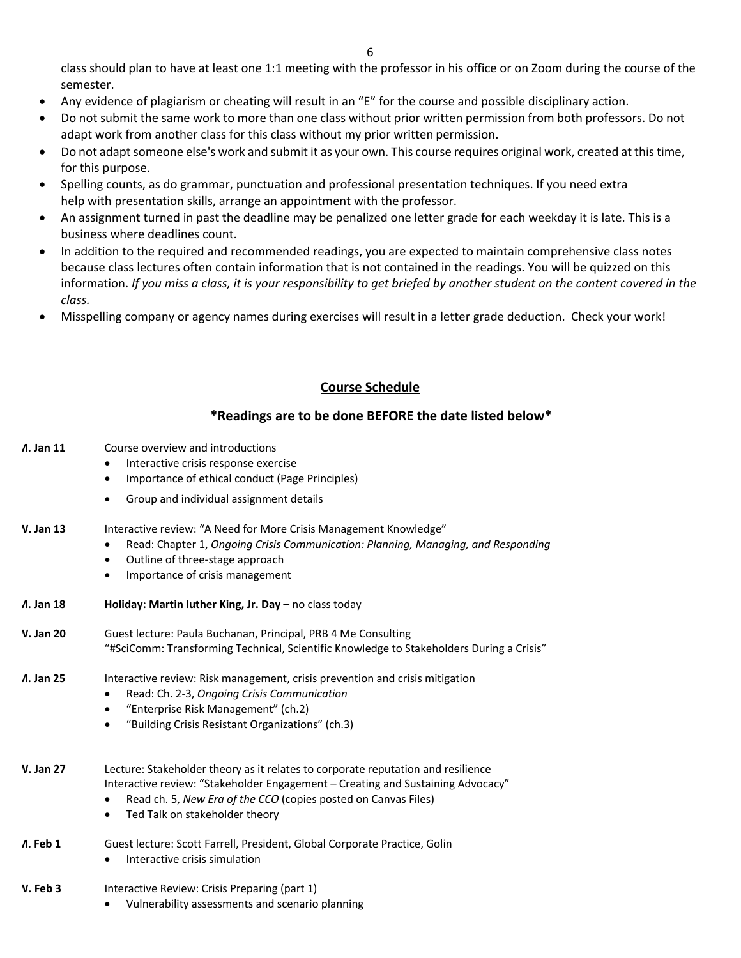class should plan to have at least one 1:1 meeting with the professor in his office or on Zoom during the course of the semester.

- Any evidence of plagiarism or cheating will result in an "E" for the course and possible disciplinary action.
- Do not submit the same work to more than one class without prior written permission from both professors. Do not adapt work from another class for this class without my prior written permission.
- Do not adapt someone else's work and submit it as your own. This course requires original work, created at this time, for this purpose.
- Spelling counts, as do grammar, punctuation and professional presentation techniques. If you need extra help with presentation skills, arrange an appointment with the professor.
- An assignment turned in past the deadline may be penalized one letter grade for each weekday it is late. This is a business where deadlines count.
- In addition to the required and recommended readings, you are expected to maintain comprehensive class notes because class lectures often contain information that is not contained in the readings. You will be quizzed on this information. *If you miss a class, it is your responsibility to get briefed by another student on the content covered in the class.*
- Misspelling company or agency names during exercises will result in a letter grade deduction. Check your work!

#### **Course Schedule**

#### **\*Readings are to be done BEFORE the date listed below\***

- **M. Jan 11** Course overview and introductions
	- Interactive crisis response exercise
	- Importance of ethical conduct (Page Principles)
	- Group and individual assignment details
- **W. Jan 13** Interactive review: "A Need for More Crisis Management Knowledge"
	- Read: Chapter 1, *Ongoing Crisis Communication: Planning, Managing, and Responding*
	- Outline of three-stage approach
	- Importance of crisis management

| Л. Jan 18         | Holiday: Martin luther King, Jr. Day $-$ no class today                                                                                                                                                                                                                              |
|-------------------|--------------------------------------------------------------------------------------------------------------------------------------------------------------------------------------------------------------------------------------------------------------------------------------|
| <b>V. Jan 20</b>  | Guest lecture: Paula Buchanan, Principal, PRB 4 Me Consulting<br>"#SciComm: Transforming Technical, Scientific Knowledge to Stakeholders During a Crisis"                                                                                                                            |
| <b>A. Jan 25</b>  | Interactive review: Risk management, crisis prevention and crisis mitigation<br>Read: Ch. 2-3, Ongoing Crisis Communication<br>$\bullet$<br>"Enterprise Risk Management" (ch.2)<br>٠<br>"Building Crisis Resistant Organizations" (ch.3)<br>$\bullet$                                |
| <b>V. Jan 27</b>  | Lecture: Stakeholder theory as it relates to corporate reputation and resilience<br>Interactive review: "Stakeholder Engagement – Creating and Sustaining Advocacy"<br>Read ch. 5, New Era of the CCO (copies posted on Canvas Files)<br>Ted Talk on stakeholder theory<br>$\bullet$ |
| $\Lambda$ . Feb 1 | Guest lecture: Scott Farrell, President, Global Corporate Practice, Golin<br>Interactive crisis simulation                                                                                                                                                                           |
| <b>N.</b> Feb 3   | Interactive Review: Crisis Preparing (part 1)                                                                                                                                                                                                                                        |

• Vulnerability assessments and scenario planning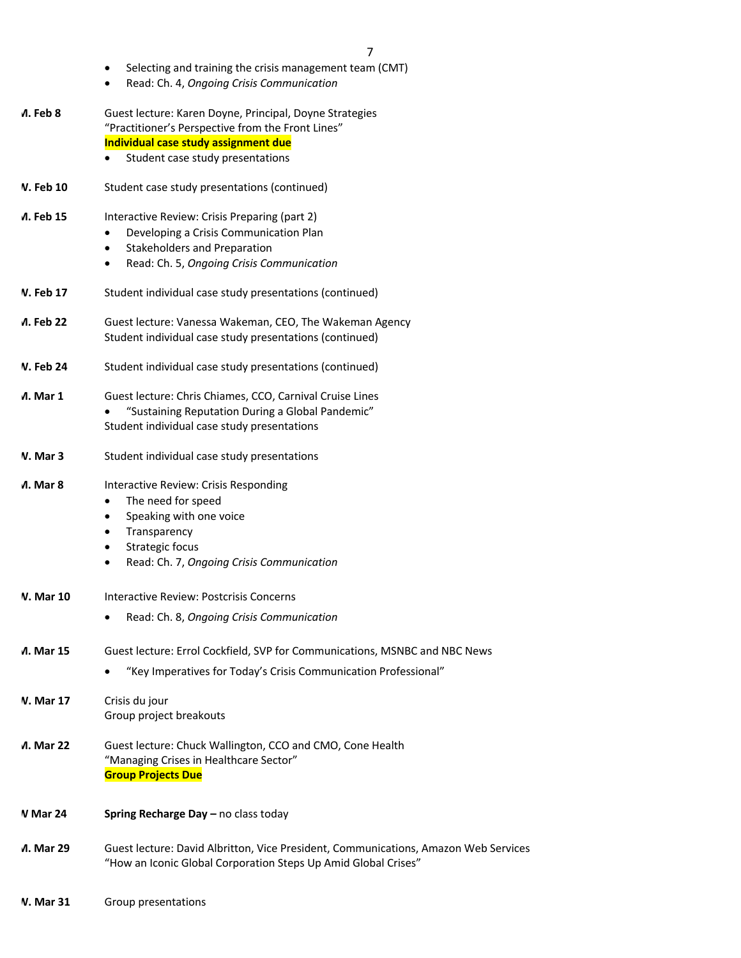- Selecting and training the crisis management team (CMT)
- Read: Ch. 4, *Ongoing Crisis Communication*

| ለ. Feb 8                | Guest lecture: Karen Doyne, Principal, Doyne Strategies<br>"Practitioner's Perspective from the Front Lines"<br>Individual case study assignment due<br>Student case study presentations<br>$\bullet$                   |
|-------------------------|-------------------------------------------------------------------------------------------------------------------------------------------------------------------------------------------------------------------------|
| V. Feb 10               | Student case study presentations (continued)                                                                                                                                                                            |
| Л. Feb 15               | Interactive Review: Crisis Preparing (part 2)<br>Developing a Crisis Communication Plan<br>$\bullet$<br>Stakeholders and Preparation<br>$\bullet$<br>Read: Ch. 5, Ongoing Crisis Communication<br>$\bullet$             |
| V. Feb 17               | Student individual case study presentations (continued)                                                                                                                                                                 |
| Л. Feb 22               | Guest lecture: Vanessa Wakeman, CEO, The Wakeman Agency<br>Student individual case study presentations (continued)                                                                                                      |
| <b>V. Feb 24</b>        | Student individual case study presentations (continued)                                                                                                                                                                 |
| ่ A. Mar 1              | Guest lecture: Chris Chiames, CCO, Carnival Cruise Lines<br>"Sustaining Reputation During a Global Pandemic"<br>Student individual case study presentations                                                             |
| V. Mar 3                | Student individual case study presentations                                                                                                                                                                             |
| ่ A. Mar 8              | Interactive Review: Crisis Responding<br>The need for speed<br>٠<br>Speaking with one voice<br>٠<br>Transparency<br>$\bullet$<br>Strategic focus<br>$\bullet$<br>Read: Ch. 7, Ongoing Crisis Communication<br>$\bullet$ |
| <b>V. Mar 10</b>        | Interactive Review: Postcrisis Concerns<br>Read: Ch. 8, Ongoing Crisis Communication<br>$\bullet$                                                                                                                       |
| <b><i>A.</i></b> Mar 15 | Guest lecture: Errol Cockfield, SVP for Communications, MSNBC and NBC News<br>"Key Imperatives for Today's Crisis Communication Professional"                                                                           |
| <b>V. Mar 17</b>        | Crisis du jour<br>Group project breakouts                                                                                                                                                                               |
| Л. Mar 22               | Guest lecture: Chuck Wallington, CCO and CMO, Cone Health<br>"Managing Crises in Healthcare Sector"<br><b>Group Projects Due</b>                                                                                        |
| V Mar 24                | Spring Recharge Day - no class today                                                                                                                                                                                    |
| Л. Mar 29               | Guest lecture: David Albritton, Vice President, Communications, Amazon Web Services<br>"How an Iconic Global Corporation Steps Up Amid Global Crises"                                                                   |